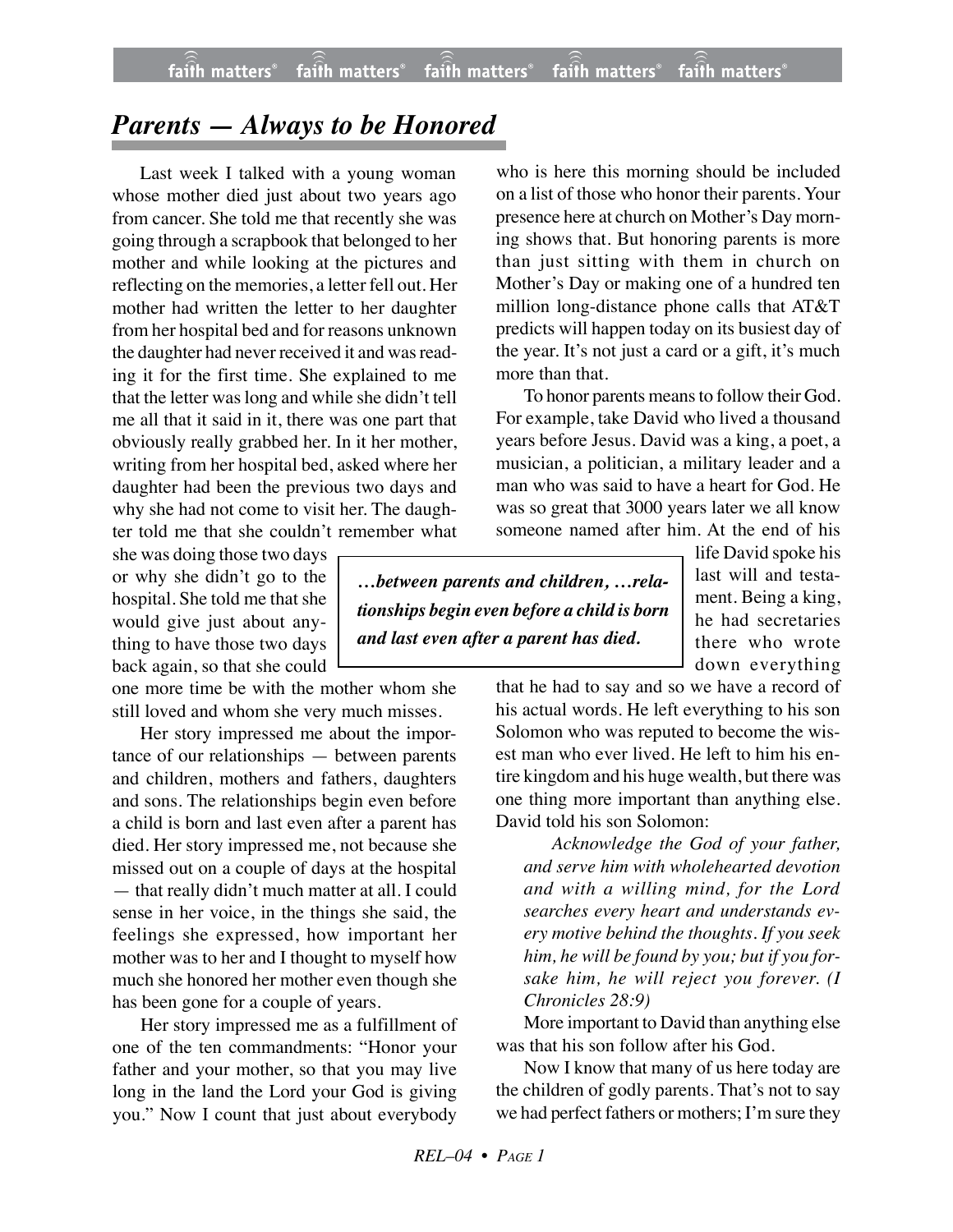## *Parents — Always to be Honored*

Last week I talked with a young woman whose mother died just about two years ago from cancer. She told me that recently she was going through a scrapbook that belonged to her mother and while looking at the pictures and reflecting on the memories, a letter fell out. Her mother had written the letter to her daughter from her hospital bed and for reasons unknown the daughter had never received it and was reading it for the first time. She explained to me that the letter was long and while she didn't tell me all that it said in it, there was one part that obviously really grabbed her. In it her mother, writing from her hospital bed, asked where her daughter had been the previous two days and why she had not come to visit her. The daughter told me that she couldn't remember what

she was doing those two days or why she didn't go to the hospital. She told me that she would give just about anything to have those two days back again, so that she could

one more time be with the mother whom she still loved and whom she very much misses.

Her story impressed me about the importance of our relationships — between parents and children, mothers and fathers, daughters and sons. The relationships begin even before a child is born and last even after a parent has died. Her story impressed me, not because she missed out on a couple of days at the hospital — that really didn't much matter at all. I could sense in her voice, in the things she said, the feelings she expressed, how important her mother was to her and I thought to myself how much she honored her mother even though she has been gone for a couple of years.

Her story impressed me as a fulfillment of one of the ten commandments: "Honor your father and your mother, so that you may live long in the land the Lord your God is giving you." Now I count that just about everybody

who is here this morning should be included on a list of those who honor their parents. Your presence here at church on Mother's Day morning shows that. But honoring parents is more than just sitting with them in church on Mother's Day or making one of a hundred ten million long-distance phone calls that AT&T predicts will happen today on its busiest day of the year. It's not just a card or a gift, it's much more than that.

To honor parents means to follow their God. For example, take David who lived a thousand years before Jesus. David was a king, a poet, a musician, a politician, a military leader and a man who was said to have a heart for God. He was so great that 3000 years later we all know someone named after him. At the end of his

*…between parents and children, …relationships begin even before a child is born and last even after a parent has died.*

life David spoke his last will and testament. Being a king, he had secretaries there who wrote down everything

that he had to say and so we have a record of his actual words. He left everything to his son Solomon who was reputed to become the wisest man who ever lived. He left to him his entire kingdom and his huge wealth, but there was one thing more important than anything else. David told his son Solomon:

*Acknowledge the God of your father, and serve him with wholehearted devotion and with a willing mind, for the Lord searches every heart and understands every motive behind the thoughts. If you seek him, he will be found by you; but if you forsake him, he will reject you forever. (I Chronicles 28:9)*

More important to David than anything else was that his son follow after his God.

Now I know that many of us here today are the children of godly parents. That's not to say we had perfect fathers or mothers; I'm sure they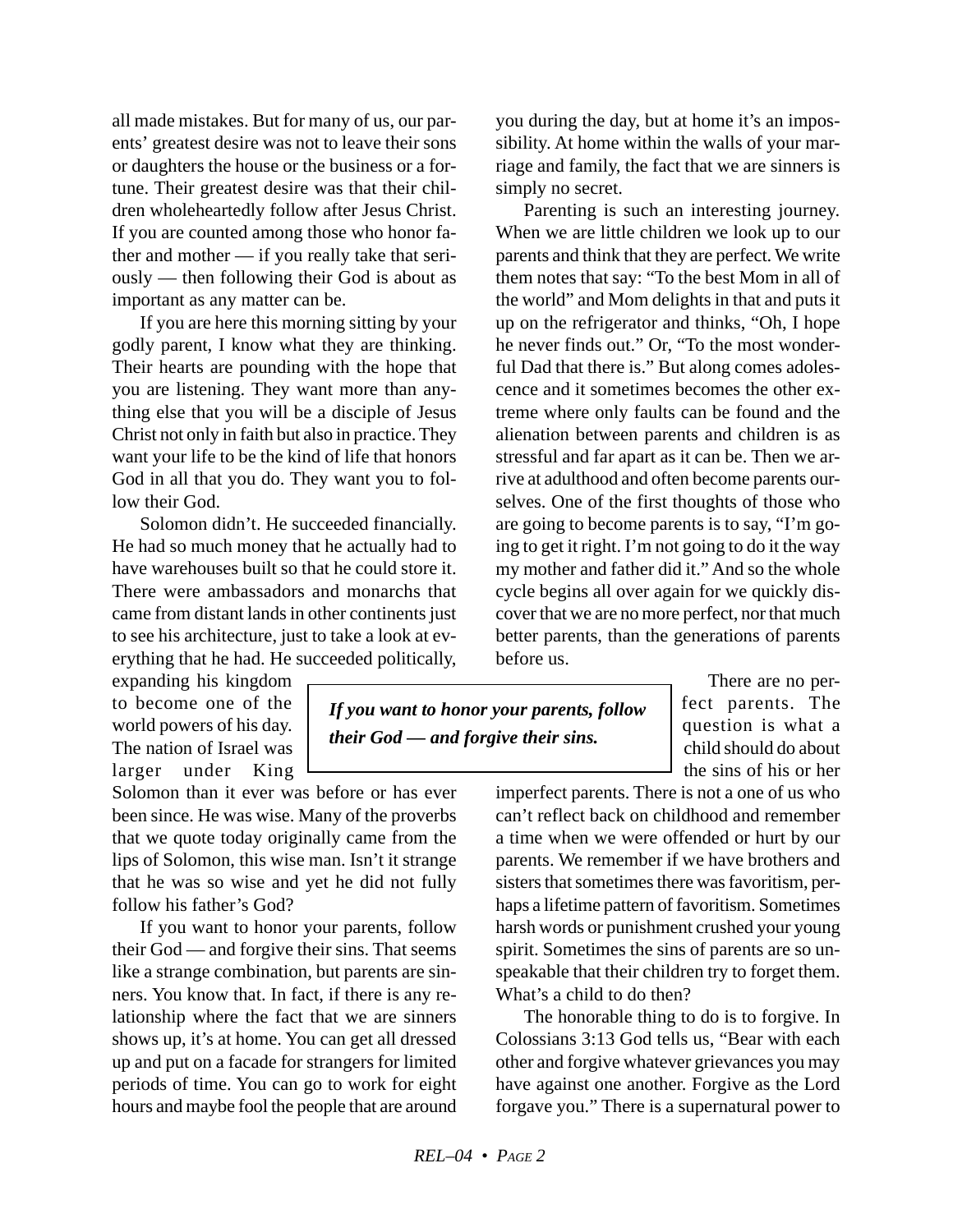all made mistakes. But for many of us, our parents' greatest desire was not to leave their sons or daughters the house or the business or a fortune. Their greatest desire was that their children wholeheartedly follow after Jesus Christ. If you are counted among those who honor father and mother — if you really take that seriously — then following their God is about as important as any matter can be.

If you are here this morning sitting by your godly parent, I know what they are thinking. Their hearts are pounding with the hope that you are listening. They want more than anything else that you will be a disciple of Jesus Christ not only in faith but also in practice. They want your life to be the kind of life that honors God in all that you do. They want you to follow their God.

Solomon didn't. He succeeded financially. He had so much money that he actually had to have warehouses built so that he could store it. There were ambassadors and monarchs that came from distant lands in other continents just to see his architecture, just to take a look at everything that he had. He succeeded politically,

expanding his kingdom to become one of the world powers of his day. The nation of Israel was larger under King

Solomon than it ever was before or has ever been since. He was wise. Many of the proverbs that we quote today originally came from the lips of Solomon, this wise man. Isn't it strange that he was so wise and yet he did not fully follow his father's God?

If you want to honor your parents, follow their God — and forgive their sins. That seems like a strange combination, but parents are sinners. You know that. In fact, if there is any relationship where the fact that we are sinners shows up, it's at home. You can get all dressed up and put on a facade for strangers for limited periods of time. You can go to work for eight hours and maybe fool the people that are around

you during the day, but at home it's an impossibility. At home within the walls of your marriage and family, the fact that we are sinners is simply no secret.

Parenting is such an interesting journey. When we are little children we look up to our parents and think that they are perfect. We write them notes that say: "To the best Mom in all of the world" and Mom delights in that and puts it up on the refrigerator and thinks, "Oh, I hope he never finds out." Or, "To the most wonderful Dad that there is." But along comes adolescence and it sometimes becomes the other extreme where only faults can be found and the alienation between parents and children is as stressful and far apart as it can be. Then we arrive at adulthood and often become parents ourselves. One of the first thoughts of those who are going to become parents is to say, "I'm going to get it right. I'm not going to do it the way my mother and father did it." And so the whole cycle begins all over again for we quickly discover that we are no more perfect, nor that much better parents, than the generations of parents before us.

> There are no perfect parents. The question is what a child should do about the sins of his or her

imperfect parents. There is not a one of us who can't reflect back on childhood and remember a time when we were offended or hurt by our parents. We remember if we have brothers and sisters that sometimes there was favoritism, perhaps a lifetime pattern of favoritism. Sometimes harsh words or punishment crushed your young spirit. Sometimes the sins of parents are so unspeakable that their children try to forget them. What's a child to do then?

The honorable thing to do is to forgive. In Colossians 3:13 God tells us, "Bear with each other and forgive whatever grievances you may have against one another. Forgive as the Lord forgave you." There is a supernatural power to

*If you want to honor your parents, follow their God — and forgive their sins.*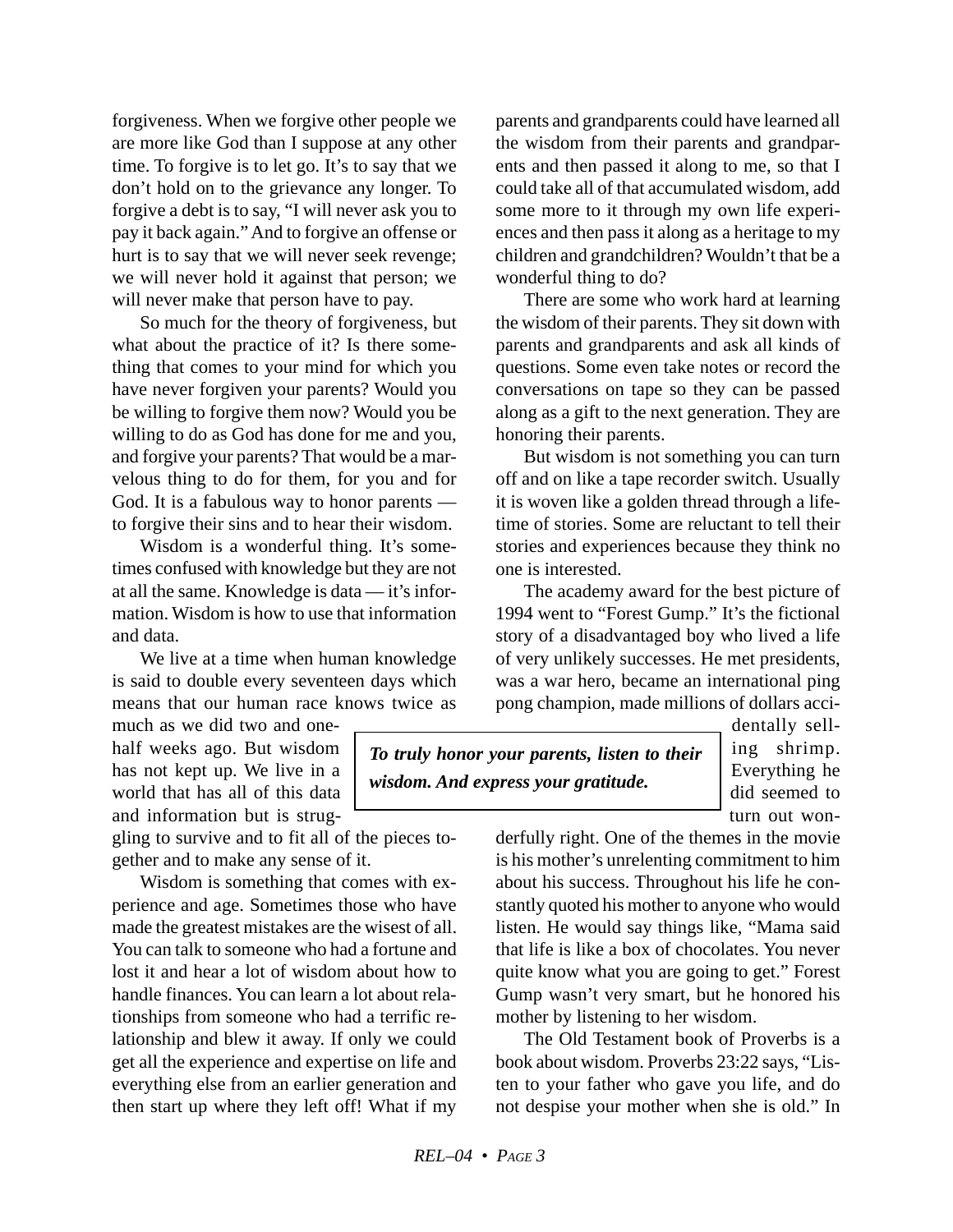forgiveness. When we forgive other people we are more like God than I suppose at any other time. To forgive is to let go. It's to say that we don't hold on to the grievance any longer. To forgive a debt is to say, "I will never ask you to pay it back again." And to forgive an offense or hurt is to say that we will never seek revenge; we will never hold it against that person; we will never make that person have to pay.

So much for the theory of forgiveness, but what about the practice of it? Is there something that comes to your mind for which you have never forgiven your parents? Would you be willing to forgive them now? Would you be willing to do as God has done for me and you, and forgive your parents? That would be a marvelous thing to do for them, for you and for God. It is a fabulous way to honor parents to forgive their sins and to hear their wisdom.

Wisdom is a wonderful thing. It's sometimes confused with knowledge but they are not at all the same. Knowledge is data — it's information. Wisdom is how to use that information and data.

We live at a time when human knowledge is said to double every seventeen days which means that our human race knows twice as

much as we did two and onehalf weeks ago. But wisdom has not kept up. We live in a world that has all of this data and information but is strug-

gling to survive and to fit all of the pieces together and to make any sense of it.

Wisdom is something that comes with experience and age. Sometimes those who have made the greatest mistakes are the wisest of all. You can talk to someone who had a fortune and lost it and hear a lot of wisdom about how to handle finances. You can learn a lot about relationships from someone who had a terrific relationship and blew it away. If only we could get all the experience and expertise on life and everything else from an earlier generation and then start up where they left off! What if my

parents and grandparents could have learned all the wisdom from their parents and grandparents and then passed it along to me, so that I could take all of that accumulated wisdom, add some more to it through my own life experiences and then pass it along as a heritage to my children and grandchildren? Wouldn't that be a wonderful thing to do?

There are some who work hard at learning the wisdom of their parents. They sit down with parents and grandparents and ask all kinds of questions. Some even take notes or record the conversations on tape so they can be passed along as a gift to the next generation. They are honoring their parents.

But wisdom is not something you can turn off and on like a tape recorder switch. Usually it is woven like a golden thread through a lifetime of stories. Some are reluctant to tell their stories and experiences because they think no one is interested.

The academy award for the best picture of 1994 went to "Forest Gump." It's the fictional story of a disadvantaged boy who lived a life of very unlikely successes. He met presidents, was a war hero, became an international ping pong champion, made millions of dollars acci-

*To truly honor your parents, listen to their wisdom. And express your gratitude.*

dentally selling shrimp. Everything he did seemed to turn out won-

derfully right. One of the themes in the movie is his mother's unrelenting commitment to him about his success. Throughout his life he constantly quoted his mother to anyone who would listen. He would say things like, "Mama said that life is like a box of chocolates. You never quite know what you are going to get." Forest Gump wasn't very smart, but he honored his mother by listening to her wisdom.

The Old Testament book of Proverbs is a book about wisdom. Proverbs 23:22 says, "Listen to your father who gave you life, and do not despise your mother when she is old." In